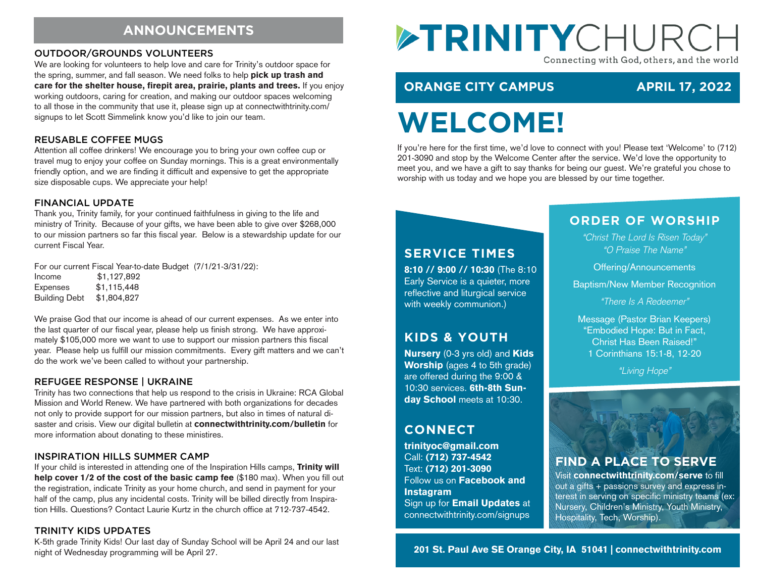# **ANNOUNCEMENTS**

#### OUTDOOR/GROUNDS VOLUNTEERS

We are looking for volunteers to help love and care for Trinity's outdoor space for the spring, summer, and fall season. We need folks to help pick up trash and care for the shelter house, firepit area, prairie, plants and trees. If you enjoy working outdoors, caring for creation, and making our outdoor spaces welcoming to all those in the community that use it, please sign up at connectwithtrinity.com/ signups to let Scott Simmelink know you'd like to join our team.

#### REUSABLE COFFEE MUGS

Attention all coffee drinkers! We encourage you to bring your own coffee cup or travel mug to enjoy your coffee on Sunday mornings. This is a great environmentally friendly option, and we are finding it difficult and expensive to get the appropriate size disposable cups. We appreciate your help!

#### FINANCIAL UPDATE

Thank you, Trinity family, for your continued faithfulness in giving to the life and ministry of Trinity. Because of your gifts, we have been able to give over \$268,000 to our mission partners so far this fiscal year. Below is a stewardship update for our current Fiscal Year.

For our current Fiscal Year-to-date Budget (7/1/21-3/31/22):

Income \$1,127,892 Expenses \$1,115,448 Building Debt \$1,804,827

We praise God that our income is ahead of our current expenses. As we enter into the last quarter of our fiscal year, please help us finish strong. We have approximately \$105,000 more we want to use to support our mission partners this fiscal year. Please help us fulfill our mission commitments. Every gift matters and we can't do the work we've been called to without your partnership.

#### REFUGEE RESPONSE | UKRAINE

Trinity has two connections that help us respond to the crisis in Ukraine: RCA Global Mission and World Renew. We have partnered with both organizations for decades not only to provide support for our mission partners, but also in times of natural disaster and crisis. View our digital bulletin at connectwithtrinity.com/bulletin for more information about donating to these ministires.

#### INSPIRATION HILLS SUMMER CAMP

If your child is interested in attending one of the Inspiration Hills camps, Trinity will help cover 1/2 of the cost of the basic camp fee (\$180 max). When you fill out the registration, indicate Trinity as your home church, and send in payment for your half of the camp, plus any incidental costs. Trinity will be billed directly from Inspiration Hills. Questions? Contact Laurie Kurtz in the church office at 712-737-4542.

#### TRINITY KIDS UPDATES

K-5th grade Trinity Kids! Our last day of Sunday School will be April 24 and our last night of Wednesday programming will be April 27.

# ETRINITYCHURCI Connecting with God, others, and the world

# **ORANGE CITY CAMPUS APRIL 17, 2022**

# **WELCOME!**

If you're here for the first time, we'd love to connect with you! Please text 'Welcome' to (712) 201-3090 and stop by the Welcome Center after the service. We'd love the opportunity to meet you, and we have a gift to say thanks for being our guest. We're grateful you chose to worship with us today and we hope you are blessed by our time together.

#### **SERVICE TIMES**

8:10 // 9:00 // 10:30 (The 8:10 Early Service is a quieter, more reflective and liturgical service with weekly communion.)

# **KIDS & YOUTH**

Nursery (0-3 yrs old) and Kids Worship (ages 4 to 5th grade) are offered during the 9:00 & 10:30 services. 6th-8th Sunday School meets at 10:30.

# **CONNECT**

trinityoc@gmail.com Call: (712) 737-4542 Text: (712) 201-3090 Follow us on Facebook and **Instagram** Sign up for Email Updates at connectwithtrinity.com/signups

#### **ORDER OF WORSHIP**

*"Christ The Lord Is Risen Today" "O Praise The Name"*

Offering/Announcements

Baptism/New Member Recognition

*"There Is A Redeemer"*

Message (Pastor Brian Keepers) "Embodied Hope: But in Fact, Christ Has Been Raised!" 1 Corinthians 15:1-8, 12-20

*"Living Hope"*



# **FIND A PLACE TO SERVE**

Visit connectwithtrinity.com/serve to fill out a gifts + passions survey and express interest in serving on specific ministry teams (ex: Nursery, Children's Ministry, Youth Ministry, Hospitality, Tech, Worship).

201 St. Paul Ave SE Orange City, IA 51041 | connectwithtrinity.com